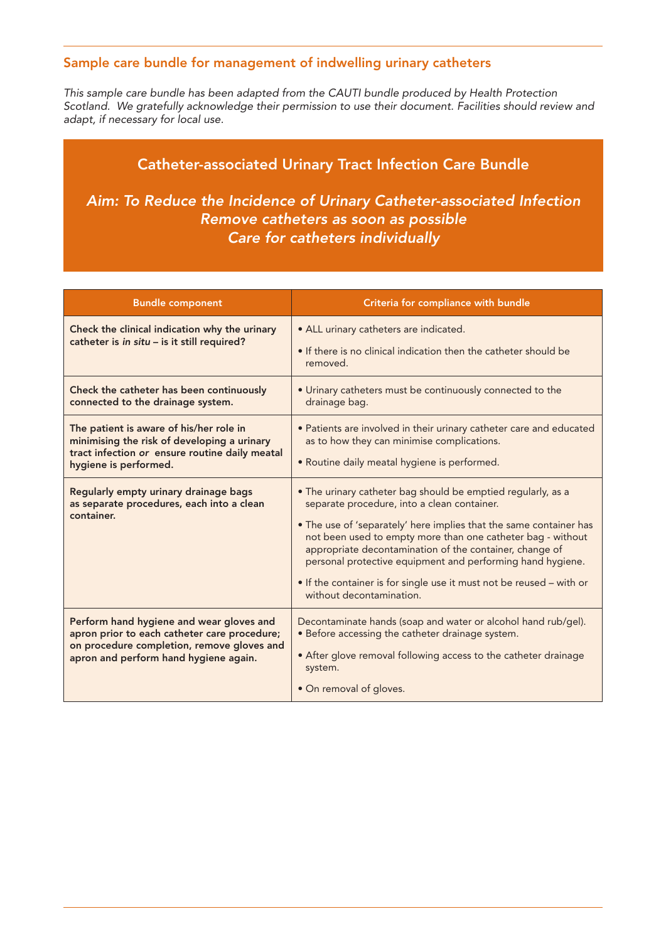## Sample care bundle for management of indwelling urinary catheters

*This sample care bundle has been adapted from the CAUTI bundle produced by Health Protection Scotland. We gratefully acknowledge their permission to use their document. Facilities should review and adapt, if necessary for local use.*

## Catheter-associated Urinary Tract Infection Care Bundle

*Aim: To Reduce the Incidence of Urinary Catheter-associated Infection Remove catheters as soon as possible Care for catheters individually* 

| <b>Bundle component</b>                                                                                                                                                         | Criteria for compliance with bundle                                                                                                                                                                                                                                                                                                                                                                                                                                           |  |  |
|---------------------------------------------------------------------------------------------------------------------------------------------------------------------------------|-------------------------------------------------------------------------------------------------------------------------------------------------------------------------------------------------------------------------------------------------------------------------------------------------------------------------------------------------------------------------------------------------------------------------------------------------------------------------------|--|--|
| Check the clinical indication why the urinary<br>catheter is in situ - is it still required?                                                                                    | • ALL urinary catheters are indicated.<br>• If there is no clinical indication then the catheter should be<br>removed.                                                                                                                                                                                                                                                                                                                                                        |  |  |
| Check the catheter has been continuously<br>connected to the drainage system.                                                                                                   | • Urinary catheters must be continuously connected to the<br>drainage bag.                                                                                                                                                                                                                                                                                                                                                                                                    |  |  |
| The patient is aware of his/her role in<br>minimising the risk of developing a urinary<br>tract infection or ensure routine daily meatal<br>hygiene is performed.               | • Patients are involved in their urinary catheter care and educated<br>as to how they can minimise complications.<br>• Routine daily meatal hygiene is performed.                                                                                                                                                                                                                                                                                                             |  |  |
| Regularly empty urinary drainage bags<br>as separate procedures, each into a clean<br>container.                                                                                | • The urinary catheter bag should be emptied regularly, as a<br>separate procedure, into a clean container.<br>. The use of 'separately' here implies that the same container has<br>not been used to empty more than one catheter bag - without<br>appropriate decontamination of the container, change of<br>personal protective equipment and performing hand hygiene.<br>• If the container is for single use it must not be reused - with or<br>without decontamination. |  |  |
| Perform hand hygiene and wear gloves and<br>apron prior to each catheter care procedure;<br>on procedure completion, remove gloves and<br>apron and perform hand hygiene again. | Decontaminate hands (soap and water or alcohol hand rub/gel).<br>• Before accessing the catheter drainage system.<br>• After glove removal following access to the catheter drainage<br>system.<br>• On removal of gloves.                                                                                                                                                                                                                                                    |  |  |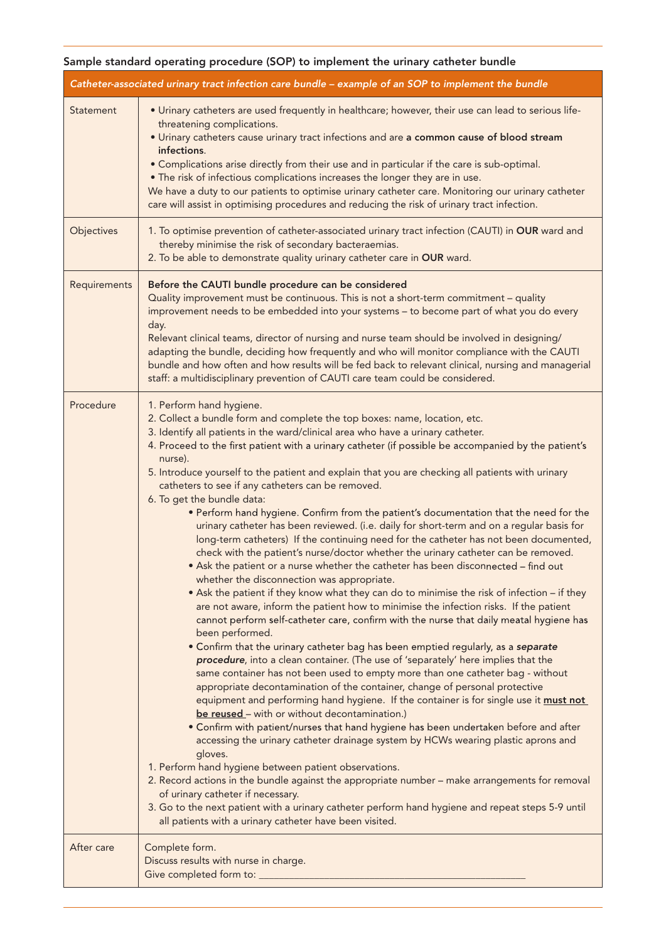## Sample standard operating procedure (SOP) to implement the urinary catheter bundle

| Catheter-associated urinary tract infection care bundle - example of an SOP to implement the bundle |                                                                                                                                                                                                                                                                                                                                                                                                                                                                                                                                                                                                                                                                                                                                                                                                                                                                                                                                                                                                                                                                                                                                                                                                                                                                                                                                                                                                                                                                                                                                                                                                                                                                                                                                                                                                                                                                                                                                                                                                                                                                                                                                                                                                                                                                                                                                                                 |  |  |  |  |
|-----------------------------------------------------------------------------------------------------|-----------------------------------------------------------------------------------------------------------------------------------------------------------------------------------------------------------------------------------------------------------------------------------------------------------------------------------------------------------------------------------------------------------------------------------------------------------------------------------------------------------------------------------------------------------------------------------------------------------------------------------------------------------------------------------------------------------------------------------------------------------------------------------------------------------------------------------------------------------------------------------------------------------------------------------------------------------------------------------------------------------------------------------------------------------------------------------------------------------------------------------------------------------------------------------------------------------------------------------------------------------------------------------------------------------------------------------------------------------------------------------------------------------------------------------------------------------------------------------------------------------------------------------------------------------------------------------------------------------------------------------------------------------------------------------------------------------------------------------------------------------------------------------------------------------------------------------------------------------------------------------------------------------------------------------------------------------------------------------------------------------------------------------------------------------------------------------------------------------------------------------------------------------------------------------------------------------------------------------------------------------------------------------------------------------------------------------------------------------------|--|--|--|--|
| Statement                                                                                           | . Urinary catheters are used frequently in healthcare; however, their use can lead to serious life-<br>threatening complications.<br>. Urinary catheters cause urinary tract infections and are a common cause of blood stream<br>infections.<br>• Complications arise directly from their use and in particular if the care is sub-optimal.<br>. The risk of infectious complications increases the longer they are in use.<br>We have a duty to our patients to optimise urinary catheter care. Monitoring our urinary catheter<br>care will assist in optimising procedures and reducing the risk of urinary tract infection.                                                                                                                                                                                                                                                                                                                                                                                                                                                                                                                                                                                                                                                                                                                                                                                                                                                                                                                                                                                                                                                                                                                                                                                                                                                                                                                                                                                                                                                                                                                                                                                                                                                                                                                                |  |  |  |  |
| Objectives                                                                                          | 1. To optimise prevention of catheter-associated urinary tract infection (CAUTI) in OUR ward and<br>thereby minimise the risk of secondary bacteraemias.<br>2. To be able to demonstrate quality urinary catheter care in OUR ward.                                                                                                                                                                                                                                                                                                                                                                                                                                                                                                                                                                                                                                                                                                                                                                                                                                                                                                                                                                                                                                                                                                                                                                                                                                                                                                                                                                                                                                                                                                                                                                                                                                                                                                                                                                                                                                                                                                                                                                                                                                                                                                                             |  |  |  |  |
| Requirements                                                                                        | Before the CAUTI bundle procedure can be considered<br>Quality improvement must be continuous. This is not a short-term commitment - quality<br>improvement needs to be embedded into your systems - to become part of what you do every<br>day.<br>Relevant clinical teams, director of nursing and nurse team should be involved in designing/<br>adapting the bundle, deciding how frequently and who will monitor compliance with the CAUTI<br>bundle and how often and how results will be fed back to relevant clinical, nursing and managerial<br>staff: a multidisciplinary prevention of CAUTI care team could be considered.                                                                                                                                                                                                                                                                                                                                                                                                                                                                                                                                                                                                                                                                                                                                                                                                                                                                                                                                                                                                                                                                                                                                                                                                                                                                                                                                                                                                                                                                                                                                                                                                                                                                                                                          |  |  |  |  |
| Procedure                                                                                           | 1. Perform hand hygiene.<br>2. Collect a bundle form and complete the top boxes: name, location, etc.<br>3. Identify all patients in the ward/clinical area who have a urinary catheter.<br>4. Proceed to the first patient with a urinary catheter (if possible be accompanied by the patient's<br>nurse).<br>5. Introduce yourself to the patient and explain that you are checking all patients with urinary<br>catheters to see if any catheters can be removed.<br>6. To get the bundle data:<br>• Perform hand hygiene. Confirm from the patient's documentation that the need for the<br>urinary catheter has been reviewed. (i.e. daily for short-term and on a regular basis for<br>long-term catheters) If the continuing need for the catheter has not been documented,<br>check with the patient's nurse/doctor whether the urinary catheter can be removed.<br>• Ask the patient or a nurse whether the catheter has been disconnected - find out<br>whether the disconnection was appropriate.<br>• Ask the patient if they know what they can do to minimise the risk of infection - if they<br>are not aware, inform the patient how to minimise the infection risks. If the patient<br>cannot perform self-catheter care, confirm with the nurse that daily meatal hygiene has<br>been performed.<br>• Confirm that the urinary catheter bag has been emptied regularly, as a separate<br>procedure, into a clean container. (The use of 'separately' here implies that the<br>same container has not been used to empty more than one catheter bag - without<br>appropriate decontamination of the container, change of personal protective<br>equipment and performing hand hygiene. If the container is for single use it must not<br>be reused - with or without decontamination.)<br>• Confirm with patient/nurses that hand hygiene has been undertaken before and after<br>accessing the urinary catheter drainage system by HCWs wearing plastic aprons and<br>gloves.<br>1. Perform hand hygiene between patient observations.<br>2. Record actions in the bundle against the appropriate number - make arrangements for removal<br>of urinary catheter if necessary.<br>3. Go to the next patient with a urinary catheter perform hand hygiene and repeat steps 5-9 until<br>all patients with a urinary catheter have been visited. |  |  |  |  |
| After care                                                                                          | Complete form.<br>Discuss results with nurse in charge.<br>Give completed form to: _                                                                                                                                                                                                                                                                                                                                                                                                                                                                                                                                                                                                                                                                                                                                                                                                                                                                                                                                                                                                                                                                                                                                                                                                                                                                                                                                                                                                                                                                                                                                                                                                                                                                                                                                                                                                                                                                                                                                                                                                                                                                                                                                                                                                                                                                            |  |  |  |  |